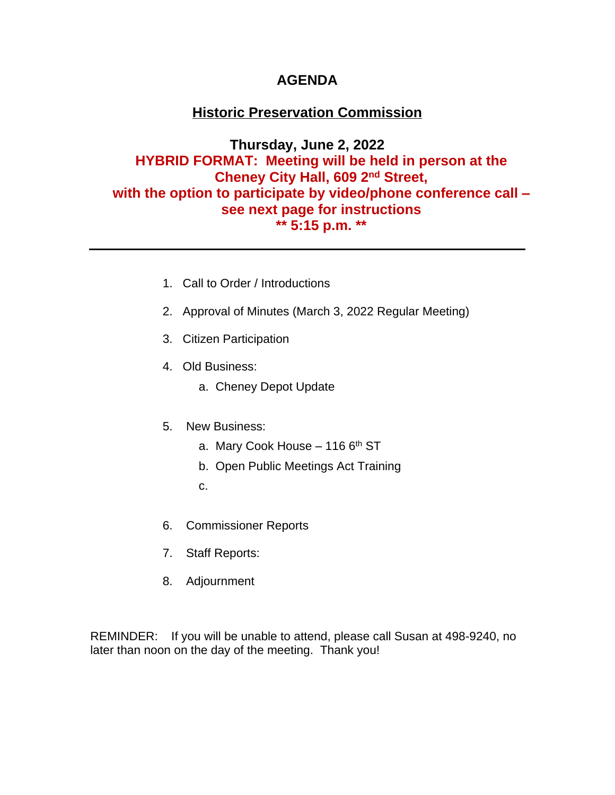### **AGENDA**

## **Historic Preservation Commission**

**Thursday, June 2, 2022 HYBRID FORMAT: Meeting will be held in person at the Cheney City Hall, 609 2nd Street, with the option to participate by video/phone conference call – see next page for instructions \*\* 5:15 p.m. \*\***

- 1. Call to Order / Introductions
- 2. Approval of Minutes (March 3, 2022 Regular Meeting)
- 3. Citizen Participation
- 4. Old Business:
	- a. Cheney Depot Update
- 5. New Business:
	- a. Mary Cook House  $-1166$ <sup>th</sup> ST
	- b. Open Public Meetings Act Training
	- c.
- 6. Commissioner Reports
- 7. Staff Reports:
- 8. Adjournment

REMINDER: If you will be unable to attend, please call Susan at 498-9240, no later than noon on the day of the meeting. Thank you!